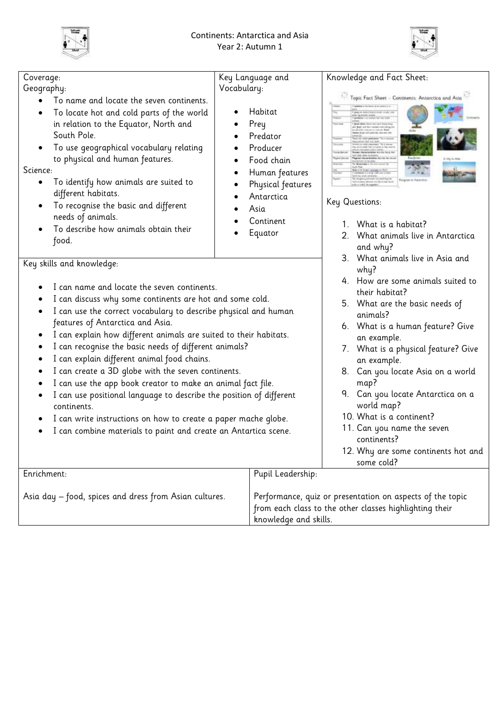



| Coverage:                                                                                                                                                                                                                                                                                                                                                                           | Key Language and                                                                                           | Knowledge and Fact Sheet:                                                                                            |
|-------------------------------------------------------------------------------------------------------------------------------------------------------------------------------------------------------------------------------------------------------------------------------------------------------------------------------------------------------------------------------------|------------------------------------------------------------------------------------------------------------|----------------------------------------------------------------------------------------------------------------------|
| Geography:                                                                                                                                                                                                                                                                                                                                                                          | Vocabulary:                                                                                                |                                                                                                                      |
| To name and locate the seven continents.<br>To locate hot and cold parts of the world<br>$\bullet$<br>in relation to the Equator, North and<br>South Pole.<br>To use geographical vocabulary relating<br>٠<br>to physical and human features.<br>Science:<br>To identify how animals are suited to<br>٠<br>different habitats.<br>To recognise the basic and different<br>$\bullet$ | Habitat<br>Prey<br>Predator<br>Producer<br>Food chain<br>Human features<br>Physical features<br>Antarctica | Topic Fact Sheet - Continents: Antarctica and Asia<br>Key Questions:                                                 |
| needs of animals.<br>To describe how animals obtain their<br>food.                                                                                                                                                                                                                                                                                                                  | Asia<br>Continent<br>Equator                                                                               | 1. What is a habitat?<br>2. What animals live in Antarctica<br>and why?<br>3. What animals live in Asia and          |
| Key skills and knowledge:                                                                                                                                                                                                                                                                                                                                                           |                                                                                                            | why?                                                                                                                 |
| I can name and locate the seven continents.<br>I can discuss why some continents are hot and some cold.<br>I can use the correct vocabulary to describe physical and human<br>٠<br>features of Antarctica and Asia.<br>I can explain how different animals are suited to their habitats.<br>٠                                                                                       |                                                                                                            | 4. How are some animals suited to<br>their habitat?                                                                  |
|                                                                                                                                                                                                                                                                                                                                                                                     |                                                                                                            | 5. What are the basic needs of<br>animals?<br>6. What is a human feature? Give<br>an example.                        |
| I can recognise the basic needs of different animals?<br>٠<br>I can explain different animal food chains.<br>٠                                                                                                                                                                                                                                                                      |                                                                                                            | 7. What is a physical feature? Give<br>an example.                                                                   |
| I can create a 3D globe with the seven continents.<br>٠<br>I can use the app book creator to make an animal fact file.<br>٠                                                                                                                                                                                                                                                         |                                                                                                            | 8. Can you locate Asia on a world<br>map?                                                                            |
| I can use positional language to describe the position of different<br>٠<br>continents.                                                                                                                                                                                                                                                                                             |                                                                                                            | 9. Can you locate Antarctica on a<br>world map?                                                                      |
| I can write instructions on how to create a paper mache globe.<br>٠<br>I can combine materials to paint and create an Antartica scene.<br>٠                                                                                                                                                                                                                                         |                                                                                                            | 10. What is a continent?<br>11. Can you name the seven<br>continents?<br>12. Why are some continents hot and         |
| Enrichment:                                                                                                                                                                                                                                                                                                                                                                         | Pupil Leadership:                                                                                          | some cold?                                                                                                           |
| Asia day - food, spices and dress from Asian cultures.                                                                                                                                                                                                                                                                                                                              | knowledge and skills.                                                                                      | Performance, quiz or presentation on aspects of the topic<br>from each class to the other classes highlighting their |